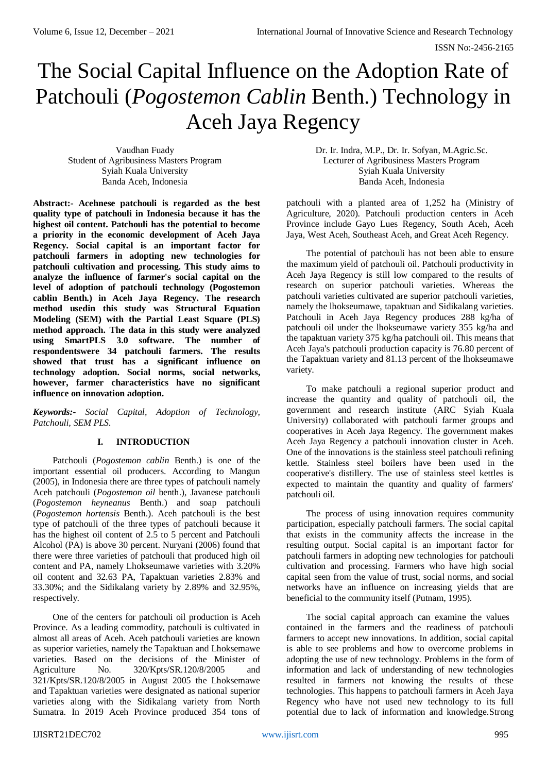# The Social Capital Influence on the Adoption Rate of Patchouli (*Pogostemon Cablin* Benth.) Technology in Aceh Jaya Regency

Vaudhan Fuady Student of Agribusiness Masters Program Syiah Kuala University Banda Aceh, Indonesia

**Abstract:- Acehnese patchouli is regarded as the best quality type of patchouli in Indonesia because it has the highest oil content. Patchouli has the potential to become a priority in the economic development of Aceh Jaya Regency. Social capital is an important factor for patchouli farmers in adopting new technologies for patchouli cultivation and processing. This study aims to analyze the influence of farmer's social capital on the level of adoption of patchouli technology (Pogostemon cablin Benth.) in Aceh Jaya Regency. The research method usedin this study was Structural Equation Modeling (SEM) with the Partial Least Square (PLS) method approach. The data in this study were analyzed using SmartPLS 3.0 software. The number of respondentswere 34 patchouli farmers. The results showed that trust has a significant influence on technology adoption. Social norms, social networks, however, farmer characteristics have no significant influence on innovation adoption.**

*Keywords:- Social Capital, Adoption of Technology, Patchouli, SEM PLS.*

# **I. INTRODUCTION**

Patchouli (*Pogostemon cablin* Benth.) is one of the important essential oil producers. According to Mangun (2005), in Indonesia there are three types of patchouli namely Aceh patchouli (*Pogostemon oil* benth.), Javanese patchouli (*Pogostemon heyneanus* Benth.) and soap patchouli (*Pogostemon hortensis* Benth.). Aceh patchouli is the best type of patchouli of the three types of patchouli because it has the highest oil content of 2.5 to 5 percent and Patchouli Alcohol (PA) is above 30 percent. Nuryani (2006) found that there were three varieties of patchouli that produced high oil content and PA, namely Lhokseumawe varieties with 3.20% oil content and 32.63 PA, Tapaktuan varieties 2.83% and 33.30%; and the Sidikalang variety by 2.89% and 32.95%, respectively.

One of the centers for patchouli oil production is Aceh Province. As a leading commodity, patchouli is cultivated in almost all areas of Aceh. Aceh patchouli varieties are known as superior varieties, namely the Tapaktuan and Lhoksemawe varieties. Based on the decisions of the Minister of Agriculture No. 320/Kpts/SR.120/8/2005 and 321/Kpts/SR.120/8/2005 in August 2005 the Lhoksemawe and Tapaktuan varieties were designated as national superior varieties along with the Sidikalang variety from North Sumatra. In 2019 Aceh Province produced 354 tons of Dr. Ir. Indra, M.P., Dr. Ir. Sofyan, M.Agric.Sc. Lecturer of Agribusiness Masters Program Syiah Kuala University Banda Aceh, Indonesia

patchouli with a planted area of 1,252 ha (Ministry of Agriculture, 2020). Patchouli production centers in Aceh Province include Gayo Lues Regency, South Aceh, Aceh Jaya, West Aceh, Southeast Aceh, and Great Aceh Regency.

The potential of patchouli has not been able to ensure the maximum yield of patchouli oil. Patchouli productivity in Aceh Jaya Regency is still low compared to the results of research on superior patchouli varieties. Whereas the patchouli varieties cultivated are superior patchouli varieties, namely the lhokseumawe, tapaktuan and Sidikalang varieties. Patchouli in Aceh Jaya Regency produces 288 kg/ha of patchouli oil under the lhokseumawe variety 355 kg/ha and the tapaktuan variety 375 kg/ha patchouli oil. This means that Aceh Jaya's patchouli production capacity is 76.80 percent of the Tapaktuan variety and 81.13 percent of the lhokseumawe variety.

To make patchouli a regional superior product and increase the quantity and quality of patchouli oil, the government and research institute (ARC Syiah Kuala University) collaborated with patchouli farmer groups and cooperatives in Aceh Jaya Regency. The government makes Aceh Jaya Regency a patchouli innovation cluster in Aceh. One of the innovations is the stainless steel patchouli refining kettle. Stainless steel boilers have been used in the cooperative's distillery. The use of stainless steel kettles is expected to maintain the quantity and quality of farmers' patchouli oil.

The process of using innovation requires community participation, especially patchouli farmers. The social capital that exists in the community affects the increase in the resulting output. Social capital is an important factor for patchouli farmers in adopting new technologies for patchouli cultivation and processing. Farmers who have high social capital seen from the value of trust, social norms, and social networks have an influence on increasing yields that are beneficial to the community itself (Putnam, 1995).

The social capital approach can examine the values contained in the farmers and the readiness of patchouli farmers to accept new innovations. In addition, social capital is able to see problems and how to overcome problems in adopting the use of new technology. Problems in the form of information and lack of understanding of new technologies resulted in farmers not knowing the results of these technologies. This happens to patchouli farmers in Aceh Jaya Regency who have not used new technology to its full potential due to lack of information and knowledge.Strong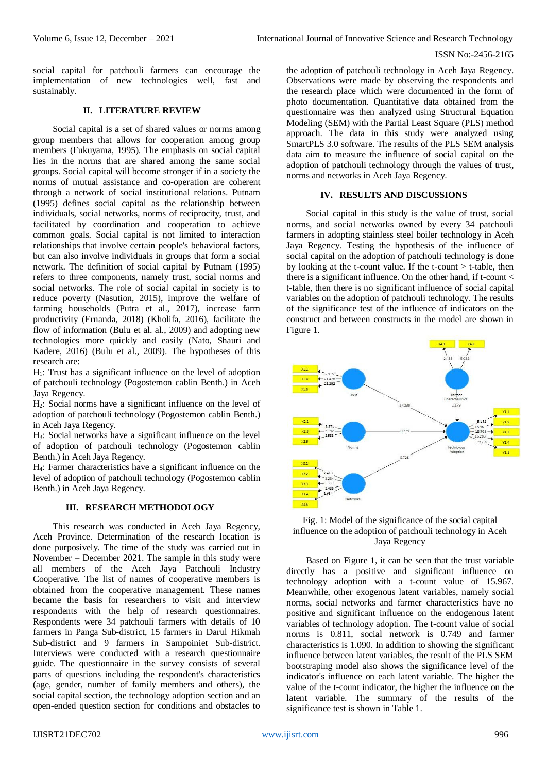social capital for patchouli farmers can encourage the implementation of new technologies well, fast and sustainably.

# **II. LITERATURE REVIEW**

Social capital is a set of shared values or norms among group members that allows for cooperation among group members (Fukuyama, 1995). The emphasis on social capital lies in the norms that are shared among the same social groups. Social capital will become stronger if in a society the norms of mutual assistance and co-operation are coherent through a network of social institutional relations. Putnam (1995) defines social capital as the relationship between individuals, social networks, norms of reciprocity, trust, and facilitated by coordination and cooperation to achieve common goals. Social capital is not limited to interaction relationships that involve certain people's behavioral factors, but can also involve individuals in groups that form a social network. The definition of social capital by Putnam (1995) refers to three components, namely trust, social norms and social networks. The role of social capital in society is to reduce poverty (Nasution, 2015), improve the welfare of farming households (Putra et al., 2017), increase farm productivity (Ernanda, 2018) (Kholifa, 2016), facilitate the flow of information (Bulu et al. al., 2009) and adopting new technologies more quickly and easily (Nato, Shauri and Kadere, 2016) (Bulu et al., 2009). The hypotheses of this research are:

H1: Trust has a significant influence on the level of adoption of patchouli technology (Pogostemon cablin Benth.) in Aceh Jaya Regency.

H2: Social norms have a significant influence on the level of adoption of patchouli technology (Pogostemon cablin Benth.) in Aceh Jaya Regency.

H3: Social networks have a significant influence on the level of adoption of patchouli technology (Pogostemon cablin Benth.) in Aceh Jaya Regency.

H4: Farmer characteristics have a significant influence on the level of adoption of patchouli technology (Pogostemon cablin Benth.) in Aceh Jaya Regency.

#### **III. RESEARCH METHODOLOGY**

This research was conducted in Aceh Jaya Regency, Aceh Province. Determination of the research location is done purposively. The time of the study was carried out in November – December 2021. The sample in this study were all members of the Aceh Jaya Patchouli Industry Cooperative. The list of names of cooperative members is obtained from the cooperative management. These names became the basis for researchers to visit and interview respondents with the help of research questionnaires. Respondents were 34 patchouli farmers with details of 10 farmers in Panga Sub-district, 15 farmers in Darul Hikmah Sub-district and 9 farmers in Sampoiniet Sub-district. Interviews were conducted with a research questionnaire guide. The questionnaire in the survey consists of several parts of questions including the respondent's characteristics (age, gender, number of family members and others), the social capital section, the technology adoption section and an open-ended question section for conditions and obstacles to the adoption of patchouli technology in Aceh Jaya Regency. Observations were made by observing the respondents and the research place which were documented in the form of photo documentation. Quantitative data obtained from the questionnaire was then analyzed using Structural Equation Modeling (SEM) with the Partial Least Square (PLS) method approach. The data in this study were analyzed using SmartPLS 3.0 software. The results of the PLS SEM analysis data aim to measure the influence of social capital on the adoption of patchouli technology through the values of trust, norms and networks in Aceh Jaya Regency.

#### **IV. RESULTS AND DISCUSSIONS**

Social capital in this study is the value of trust, social norms, and social networks owned by every 34 patchouli farmers in adopting stainless steel boiler technology in Aceh Jaya Regency. Testing the hypothesis of the influence of social capital on the adoption of patchouli technology is done by looking at the t-count value. If the t-count  $>$  t-table, then there is a significant influence. On the other hand, if t-count  $\lt$ t-table, then there is no significant influence of social capital variables on the adoption of patchouli technology. The results of the significance test of the influence of indicators on the construct and between constructs in the model are shown in Figure 1.



# Fig. 1: Model of the significance of the social capital influence on the adoption of patchouli technology in Aceh Jaya Regency

Based on Figure 1, it can be seen that the trust variable directly has a positive and significant influence on technology adoption with a t-count value of 15.967. Meanwhile, other exogenous latent variables, namely social norms, social networks and farmer characteristics have no positive and significant influence on the endogenous latent variables of technology adoption. The t-count value of social norms is 0.811, social network is 0.749 and farmer characteristics is 1.090. In addition to showing the significant influence between latent variables, the result of the PLS SEM bootstraping model also shows the significance level of the indicator's influence on each latent variable. The higher the value of the t-count indicator, the higher the influence on the latent variable. The summary of the results of the significance test is shown in Table 1.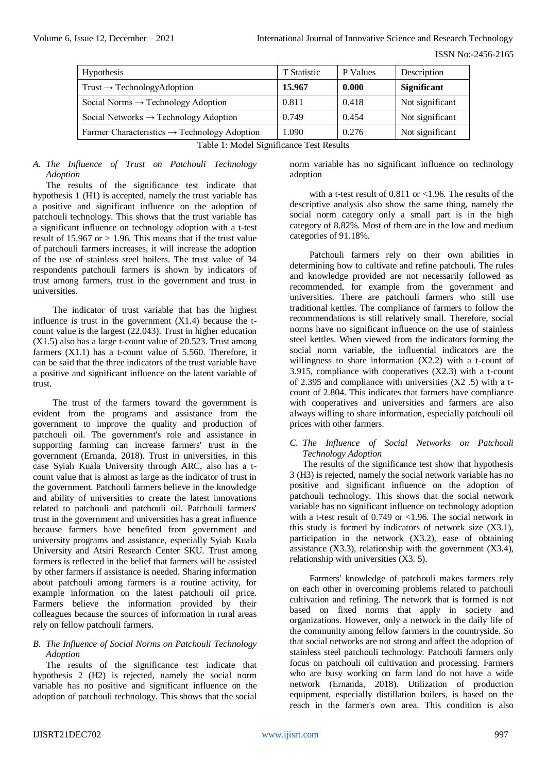| Hypothesis                                               | T Statistic | P Values | Description        |
|----------------------------------------------------------|-------------|----------|--------------------|
| $Trust \rightarrow TechnologyAdoption$                   | 15.967      | 0.000    | <b>Significant</b> |
| Social Norms $\rightarrow$ Technology Adoption           | 0.811       | 0.418    | Not significant    |
| Social Networks $\rightarrow$ Technology Adoption        | 0.749       | 0.454    | Not significant    |
| Farmer Characteristics $\rightarrow$ Technology Adoption | 1.090       | 0.276    | Not significant    |

Table 1: Model Significance Test Results

# *A. The Influence of Trust on Patchouli Technology Adoption*

The results of the significance test indicate that hypothesis 1 (H1) is accepted, namely the trust variable has a positive and significant influence on the adoption of patchouli technology. This shows that the trust variable has a significant influence on technology adoption with a t-test result of 15.967 or  $> 1.96$ . This means that if the trust value of patchouli farmers increases, it will increase the adoption of the use of stainless steel boilers. The trust value of 34 respondents patchouli farmers is shown by indicators of trust among farmers, trust in the government and trust in universities.

The indicator of trust variable that has the highest influence is trust in the government  $(X1.4)$  because the tcount value is the largest (22.043). Trust in higher education (X1.5) also has a large t-count value of 20.523. Trust among farmers (X1.1) has a t-count value of 5.560. Therefore, it can be said that the three indicators of the trust variable have a positive and significant influence on the latent variable of trust.

The trust of the farmers toward the government is evident from the programs and assistance from the government to improve the quality and production of patchouli oil. The government's role and assistance in supporting farming can increase farmers' trust in the government (Ernanda, 2018). Trust in universities, in this case Syiah Kuala University through ARC, also has a tcount value that is almost as large as the indicator of trust in the government. Patchouli farmers believe in the knowledge and ability of universities to create the latest innovations related to patchouli and patchouli oil. Patchouli farmers' trust in the government and universities has a great influence because farmers have benefited from government and university programs and assistance, especially Syiah Kuala University and Atsiri Research Center SKU. Trust among farmers is reflected in the belief that farmers will be assisted by other farmers if assistance is needed. Sharing information about patchouli among farmers is a routine activity, for example information on the latest patchouli oil price. Farmers believe the information provided by their colleagues because the sources of information in rural areas rely on fellow patchouli farmers.

# *B. The Influence of Social Norms on Patchouli Technology Adoption*

The results of the significance test indicate that hypothesis 2 (H2) is rejected, namely the social norm variable has no positive and significant influence on the adoption of patchouli technology. This shows that the social

norm variable has no significant influence on technology adoption

with a t-test result of 0.811 or <1.96. The results of the descriptive analysis also show the same thing, namely the social norm category only a small part is in the high category of 8.82%. Most of them are in the low and medium categories of 91.18%.

Patchouli farmers rely on their own abilities in determining how to cultivate and refine patchouli. The rules and knowledge provided are not necessarily followed as recommended, for example from the government and universities. There are patchouli farmers who still use traditional kettles. The compliance of farmers to follow the recommendations is still relatively small. Therefore, social norms have no significant influence on the use of stainless steel kettles. When viewed from the indicators forming the social norm variable, the influential indicators are the willingness to share information (X2.2) with a t-count of 3.915, compliance with cooperatives (X2.3) with a t-count of 2.395 and compliance with universities (X2 .5) with a tcount of 2.804. This indicates that farmers have compliance with cooperatives and universities and farmers are also always willing to share information, especially patchouli oil prices with other farmers.

# *C. The Influence of Social Networks on Patchouli Technology Adoption*

The results of the significance test show that hypothesis 3 (H3) is rejected, namely the social network variable has no positive and significant influence on the adoption of patchouli technology. This shows that the social network variable has no significant influence on technology adoption with a t-test result of 0.749 or <1.96. The social network in this study is formed by indicators of network size (X3.1), participation in the network (X3.2), ease of obtaining assistance  $(X3.3)$ , relationship with the government  $(X3.4)$ , relationship with universities (X3. 5).

Farmers' knowledge of patchouli makes farmers rely on each other in overcoming problems related to patchouli cultivation and refining. The network that is formed is not based on fixed norms that apply in society and organizations. However, only a network in the daily life of the community among fellow farmers in the countryside. So that social networks are not strong and affect the adoption of stainless steel patchouli technology. Patchouli farmers only focus on patchouli oil cultivation and processing. Farmers who are busy working on farm land do not have a wide network (Ernanda, 2018). Utilization of production equipment, especially distillation boilers, is based on the reach in the farmer's own area. This condition is also